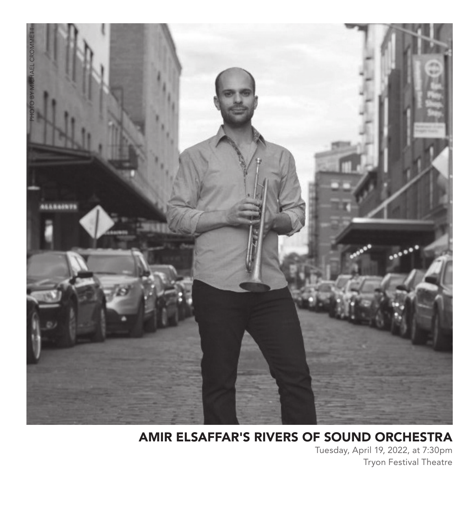

### AMIR ELSAFFAR'S RIVERS OF SOUND ORCHESTRA

Tuesday, April 19, 2022, at 7:30pm Tryon Festival Theatre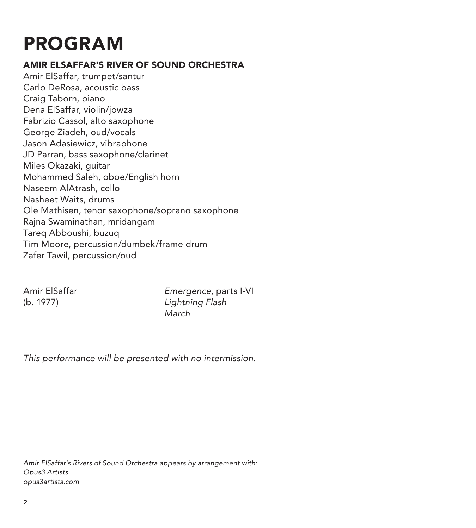## PROGRAM

#### AMIR ELSAFFAR'S RIVER OF SOUND ORCHESTRA

Amir ElSaffar, trumpet/santur Carlo DeRosa, acoustic bass Craig Taborn, piano Dena ElSaffar, violin/jowza Fabrizio Cassol, alto saxophone George Ziadeh, oud/vocals Jason Adasiewicz, vibraphone JD Parran, bass saxophone/clarinet Miles Okazaki, guitar Mohammed Saleh, oboe/English horn Naseem AlAtrash, cello Nasheet Waits, drums Ole Mathisen, tenor saxophone/soprano saxophone Rajna Swaminathan, mridangam Tareq Abboushi, buzuq Tim Moore, percussion/dumbek/frame drum Zafer Tawil, percussion/oud

Amir ElSaffar *Emergence*, parts I-VI (b. 1977) *Lightning Flash March*

*This performance will be presented with no intermission.*

*Amir ElSaffar's Rivers of Sound Orchestra appears by arrangement with: Opus3 Artists opus3artists.com*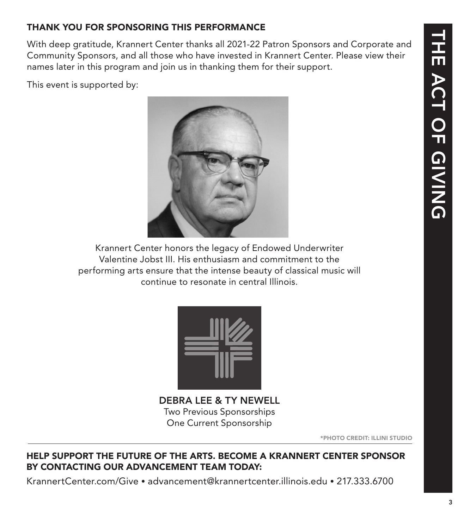### THANK YOU FOR SPONSORING THIS PERFORMANCE

With deep gratitude, Krannert Center thanks all 2021-22 Patron Sponsors and Corporate and Community Sponsors, and all those who have invested in Krannert Center. Please view their names later in this program and join us in thanking them for their support.

This event is supported by:



Krannert Center honors the legacy of Endowed Underwriter Valentine Jobst III. His enthusiasm and commitment to the performing arts ensure that the intense beauty of classical music will continue to resonate in central Illinois.



DEBRA LEE & TY NEWELL Two Previous Sponsorships One Current Sponsorship

\*PHOTO CREDIT: ILLINI STUDIO

#### HELP SUPPORT THE FUTURE OF THE ARTS. BECOME A KRANNERT CENTER SPONSOR BY CONTACTING OUR ADVANCEMENT TEAM TODAY:

KrannertCenter.com/Give • advancement@krannertcenter.illinois.edu • 217.333.6700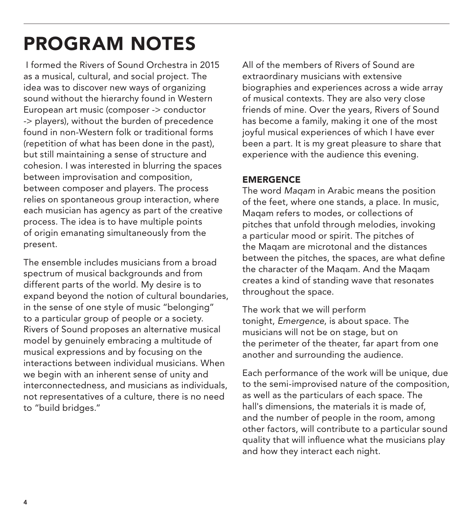## PROGRAM NOTES

 I formed the Rivers of Sound Orchestra in 2015 as a musical, cultural, and social project. The idea was to discover new ways of organizing sound without the hierarchy found in Western European art music (composer -> conductor -> players), without the burden of precedence found in non-Western folk or traditional forms (repetition of what has been done in the past), but still maintaining a sense of structure and cohesion. I was interested in blurring the spaces between improvisation and composition, between composer and players. The process relies on spontaneous group interaction, where each musician has agency as part of the creative process. The idea is to have multiple points of origin emanating simultaneously from the present.

The ensemble includes musicians from a broad spectrum of musical backgrounds and from different parts of the world. My desire is to expand beyond the notion of cultural boundaries, in the sense of one style of music "belonging" to a particular group of people or a society. Rivers of Sound proposes an alternative musical model by genuinely embracing a multitude of musical expressions and by focusing on the interactions between individual musicians. When we begin with an inherent sense of unity and interconnectedness, and musicians as individuals, not representatives of a culture, there is no need to "build bridges."

All of the members of Rivers of Sound are extraordinary musicians with extensive biographies and experiences across a wide array of musical contexts. They are also very close friends of mine. Over the years, Rivers of Sound has become a family, making it one of the most joyful musical experiences of which I have ever been a part. It is my great pleasure to share that experience with the audience this evening.

#### EMERGENCE

The word *Maqam* in Arabic means the position of the feet, where one stands, a place. In music, Maqam refers to modes, or collections of pitches that unfold through melodies, invoking a particular mood or spirit. The pitches of the Maqam are microtonal and the distances between the pitches, the spaces, are what define the character of the Maqam. And the Maqam creates a kind of standing wave that resonates throughout the space.

The work that we will perform tonight, *Emergence*, is about space. The musicians will not be on stage, but on the perimeter of the theater, far apart from one another and surrounding the audience.

Each performance of the work will be unique, due to the semi-improvised nature of the composition, as well as the particulars of each space. The hall's dimensions, the materials it is made of, and the number of people in the room, among other factors, will contribute to a particular sound quality that will influence what the musicians play and how they interact each night.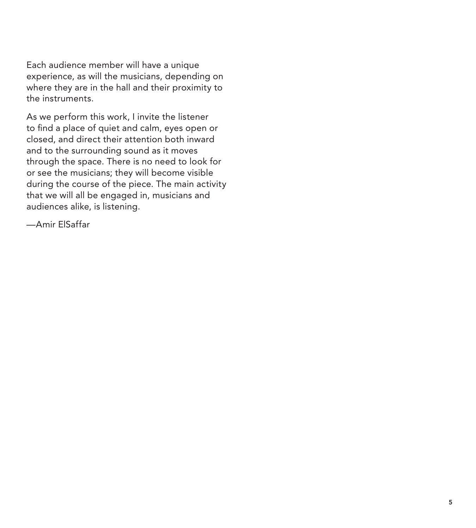Each audience member will have a unique experience, as will the musicians, depending on where they are in the hall and their proximity to the instruments.

As we perform this work, I invite the listener to find a place of quiet and calm, eyes open or closed, and direct their attention both inward and to the surrounding sound as it moves through the space. There is no need to look for or see the musicians; they will become visible during the course of the piece. The main activity that we will all be engaged in, musicians and audiences alike, is listening.

—Amir ElSaffar